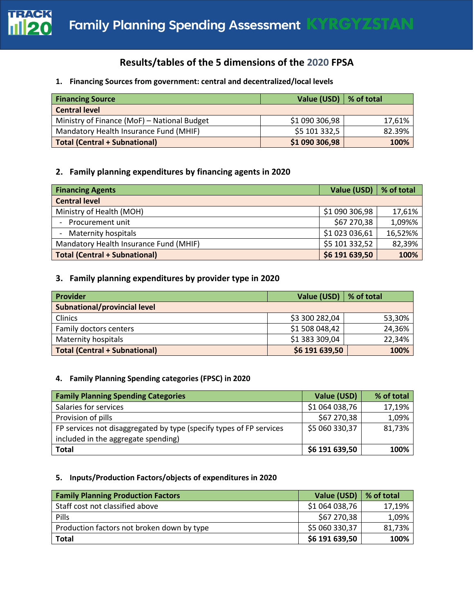

# **Results/tables of the 5 dimensions of the 2020 FPSA**

#### **1. Financing Sources from government: central and decentralized/local levels**

| <b>Financing Source</b>                     | Value (USD)   % of total |        |
|---------------------------------------------|--------------------------|--------|
| <b>Central level</b>                        |                          |        |
| Ministry of Finance (MoF) - National Budget | \$1 090 306,98           | 17,61% |
| Mandatory Health Insurance Fund (MHIF)      | \$5 101 332,5            | 82.39% |
| <b>Total (Central + Subnational)</b>        | \$1 090 306,98           | 100%   |

## **2. Family planning expenditures by financing agents in 2020**

| <b>Financing Agents</b>                | Value (USD)   % of total |         |  |
|----------------------------------------|--------------------------|---------|--|
| <b>Central level</b>                   |                          |         |  |
| Ministry of Health (MOH)               | \$1 090 306,98           | 17,61%  |  |
| Procurement unit                       | \$67 270,38              | 1,09%%  |  |
| Maternity hospitals                    | \$1 023 036,61           | 16,52%% |  |
| Mandatory Health Insurance Fund (MHIF) | \$5 101 332,52           | 82,39%  |  |
| <b>Total (Central + Subnational)</b>   | \$6 191 639,50           | 100%    |  |

# **3. Family planning expenditures by provider type in 2020**

| Provider                            | Value (USD) $\vert$ % of total |        |
|-------------------------------------|--------------------------------|--------|
| <b>Subnational/provincial level</b> |                                |        |
| Clinics                             | \$3 300 282,04                 | 53,30% |
| Family doctors centers              | \$1 508 048,42                 | 24,36% |
| <b>Maternity hospitals</b>          | \$1 383 309,04                 | 22,34% |
| Total (Central + Subnational)       | \$6 191 639,50                 | 100%   |

### **4. Family Planning Spending categories (FPSC) in 2020**

| <b>Family Planning Spending Categories</b>                          | Value (USD)    | % of total |
|---------------------------------------------------------------------|----------------|------------|
| Salaries for services                                               | \$1 064 038,76 | 17,19%     |
| Provision of pills                                                  | \$67 270,38    | 1,09%      |
| FP services not disaggregated by type (specify types of FP services | \$5 060 330,37 | 81,73%     |
| included in the aggregate spending)                                 |                |            |
| <b>Total</b>                                                        | \$6 191 639,50 | 100%       |

#### **5. Inputs/Production Factors/objects of expenditures in 2020**

| <b>Family Planning Production Factors</b>  | Value (USD)    | % of total |
|--------------------------------------------|----------------|------------|
| Staff cost not classified above            | \$1 064 038,76 | 17,19%     |
| Pills                                      | \$67 270,38    | 1,09%      |
| Production factors not broken down by type | \$5 060 330,37 | 81,73%     |
| <b>Total</b>                               | \$6 191 639,50 | 100%       |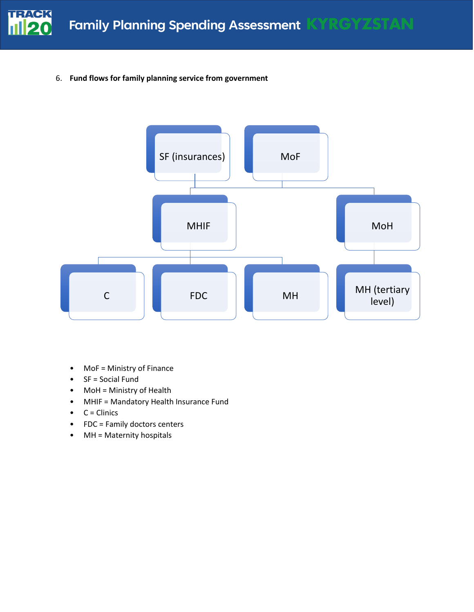

6. **Fund flows for family planning service from government**



- MoF = Ministry of Finance
- SF = Social Fund
- MoH = Ministry of Health
- MHIF = Mandatory Health Insurance Fund
- $\bullet$  C = Clinics
- FDC = Family doctors centers
- MH = Maternity hospitals